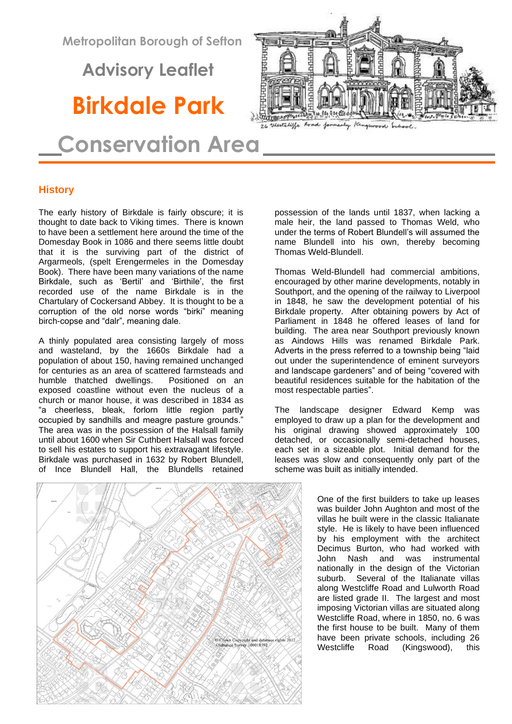**Metropolitan Borough of Sefton**

 **Advisory Leaflet**

# **Birkdale Park**

 **Conservation Area**

## **History**

The early history of Birkdale is fairly obscure; it is thought to date back to Viking times. There is known to have been a settlement here around the time of the Domesday Book in 1086 and there seems little doubt that it is the surviving part of the district of Argarmeols, (spelt Erengermeles in the Domesday Book). There have been many variations of the name Birkdale, such as 'Bertil' and 'Birthile', the first recorded use of the name Birkdale is in the Chartulary of Cockersand Abbey. It is thought to be a corruption of the old norse words "birki" meaning birch-copse and "dalr", meaning dale.

A thinly populated area consisting largely of moss and wasteland, by the 1660s Birkdale had a population of about 150, having remained unchanged for centuries as an area of scattered farmsteads and humble thatched dwellings. Positioned on an exposed coastline without even the nucleus of a church or manor house, it was described in 1834 as "a cheerless, bleak, forlorn little region partly occupied by sandhills and meagre pasture grounds." The area was in the possession of the Halsall family until about 1600 when Sir Cuthbert Halsall was forced to sell his estates to support his extravagant lifestyle. Birkdale was purchased in 1632 by Robert Blundell, of Ince Blundell Hall, the Blundells retained



Thomas Weld-Blundell had commercial ambitions, encouraged by other marine developments, notably in Southport, and the opening of the railway to Liverpool in 1848, he saw the development potential of his Birkdale property. After obtaining powers by Act of Parliament in 1848 he offered leases of land for building. The area near Southport previously known as Aindows Hills was renamed Birkdale Park. Adverts in the press referred to a township being "laid out under the superintendence of eminent surveyors and landscape gardeners" and of being "covered with beautiful residences suitable for the habitation of the most respectable parties".

The landscape designer Edward Kemp was employed to draw up a plan for the development and his original drawing showed approximately 100 detached, or occasionally semi-detached houses, each set in a sizeable plot. Initial demand for the leases was slow and consequently only part of the scheme was built as initially intended.

> One of the first builders to take up leases was builder John Aughton and most of the villas he built were in the classic Italianate style. He is likely to have been influenced by his employment with the architect Decimus Burton, who had worked with John Nash and was instrumental nationally in the design of the Victorian suburb. Several of the Italianate villas along Westcliffe Road and Lulworth Road are listed grade II. The largest and most imposing Victorian villas are situated along Westcliffe Road, where in 1850, no. 6 was the first house to be built. Many of them have been private schools, including 26 Westcliffe Road (Kingswood), this



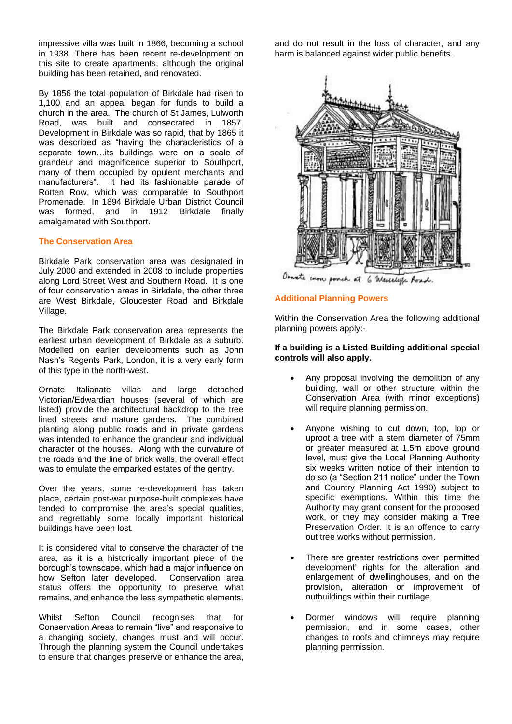impressive villa was built in 1866, becoming a school in 1938. There has been recent re-development on this site to create apartments, although the original building has been retained, and renovated.

By 1856 the total population of Birkdale had risen to 1,100 and an appeal began for funds to build a church in the area. The church of St James, Lulworth Road, was built and consecrated in 1857. Development in Birkdale was so rapid, that by 1865 it was described as "having the characteristics of a separate town…its buildings were on a scale of grandeur and magnificence superior to Southport, many of them occupied by opulent merchants and manufacturers". It had its fashionable parade of Rotten Row, which was comparable to Southport Promenade. In 1894 Birkdale Urban District Council was formed, and in 1912 Birkdale finally amalgamated with Southport.

## **The Conservation Area**

Birkdale Park conservation area was designated in July 2000 and extended in 2008 to include properties along Lord Street West and Southern Road. It is one of four conservation areas in Birkdale, the other three are West Birkdale, Gloucester Road and Birkdale Village.

The Birkdale Park conservation area represents the earliest urban development of Birkdale as a suburb. Modelled on earlier developments such as John Nash's Regents Park, London, it is a very early form of this type in the north-west.

Ornate Italianate villas and large detached Victorian/Edwardian houses (several of which are listed) provide the architectural backdrop to the tree lined streets and mature gardens. The combined planting along public roads and in private gardens was intended to enhance the grandeur and individual character of the houses. Along with the curvature of the roads and the line of brick walls, the overall effect was to emulate the emparked estates of the gentry.

Over the years, some re-development has taken place, certain post-war purpose-built complexes have tended to compromise the area's special qualities, and regrettably some locally important historical buildings have been lost.

It is considered vital to conserve the character of the area, as it is a historically important piece of the borough's townscape, which had a major influence on how Sefton later developed. Conservation area status offers the opportunity to preserve what remains, and enhance the less sympathetic elements.

Whilst Sefton Council recognises that for Conservation Areas to remain "live" and responsive to a changing society, changes must and will occur. Through the planning system the Council undertakes to ensure that changes preserve or enhance the area, and do not result in the loss of character, and any harm is balanced against wider public benefits.



Osnate even pooch at 6 Wesceleffe Road.

## **Additional Planning Powers**

Within the Conservation Area the following additional planning powers apply:-

## **If a building is a Listed Building additional special controls will also apply.**

- Any proposal involving the demolition of any building, wall or other structure within the Conservation Area (with minor exceptions) will require planning permission.
- Anyone wishing to cut down, top, lop or uproot a tree with a stem diameter of 75mm or greater measured at 1.5m above ground level, must give the Local Planning Authority six weeks written notice of their intention to do so (a "Section 211 notice" under the Town and Country Planning Act 1990) subject to specific exemptions. Within this time the Authority may grant consent for the proposed work, or they may consider making a Tree Preservation Order. It is an offence to carry out tree works without permission.
- There are greater restrictions over 'permitted development' rights for the alteration and enlargement of dwellinghouses, and on the provision, alteration or improvement of outbuildings within their curtilage.
- Dormer windows will require planning permission, and in some cases, other changes to roofs and chimneys may require planning permission.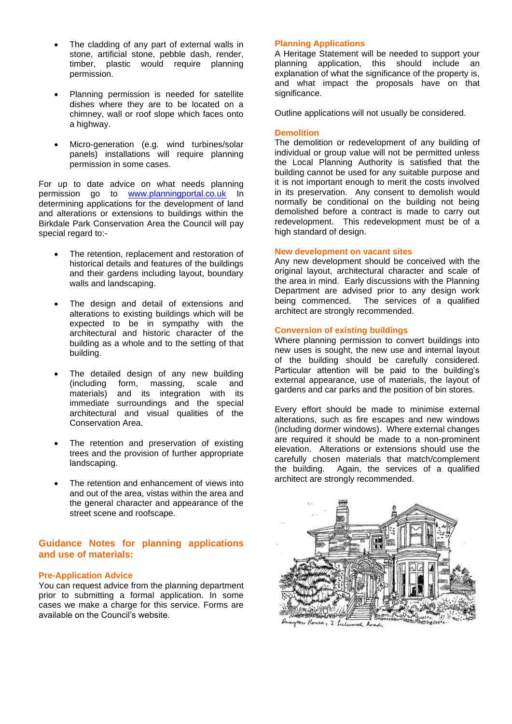- The cladding of any part of external walls in stone, artificial stone, pebble dash, render, timber, plastic would require planning permission.
- Planning permission is needed for satellite dishes where they are to be located on a chimney, wall or roof slope which faces onto a highway.
- Micro-generation (e.g. wind turbines/solar panels) installations will require planning permission in some cases.

For up to date advice on what needs planning permission go to [www.planningportal.co.uk](http://www.planningportal.co.uk/) In determining applications for the development of land and alterations or extensions to buildings within the Birkdale Park Conservation Area the Council will pay special regard to:-

- The retention, replacement and restoration of historical details and features of the buildings and their gardens including layout, boundary walls and landscaping.
- The design and detail of extensions and alterations to existing buildings which will be expected to be in sympathy with the architectural and historic character of the building as a whole and to the setting of that building.
- The detailed design of any new building (including form, massing, scale and materials) and its integration with its immediate surroundings and the special architectural and visual qualities of the Conservation Area.
- The retention and preservation of existing trees and the provision of further appropriate landscaping.
- The retention and enhancement of views into and out of the area, vistas within the area and the general character and appearance of the street scene and roofscape.

## **Guidance Notes for planning applications and use of materials:**

## **Pre-Application Advice**

You can request advice from the planning department prior to submitting a formal application. In some cases we make a charge for this service. Forms are available on the Council's website.

## **Planning Applications**

A Heritage Statement will be needed to support your planning application, this should include an explanation of what the significance of the property is, and what impact the proposals have on that significance.

Outline applications will not usually be considered.

## **Demolition**

The demolition or redevelopment of any building of individual or group value will not be permitted unless the Local Planning Authority is satisfied that the building cannot be used for any suitable purpose and it is not important enough to merit the costs involved in its preservation. Any consent to demolish would normally be conditional on the building not being demolished before a contract is made to carry out redevelopment. This redevelopment must be of a high standard of design.

#### **New development on vacant sites**

Any new development should be conceived with the original layout, architectural character and scale of the area in mind. Early discussions with the Planning Department are advised prior to any design work being commenced. The services of a qualified architect are strongly recommended.

#### **Conversion of existing buildings**

Where planning permission to convert buildings into new uses is sought, the new use and internal layout of the building should be carefully considered. Particular attention will be paid to the building's external appearance, use of materials, the layout of gardens and car parks and the position of bin stores.

Every effort should be made to minimise external alterations, such as fire escapes and new windows (including dormer windows). Where external changes are required it should be made to a non-prominent elevation. Alterations or extensions should use the carefully chosen materials that match/complement the building. Again, the services of a qualified architect are strongly recommended.



 $1e, 2$  full ed R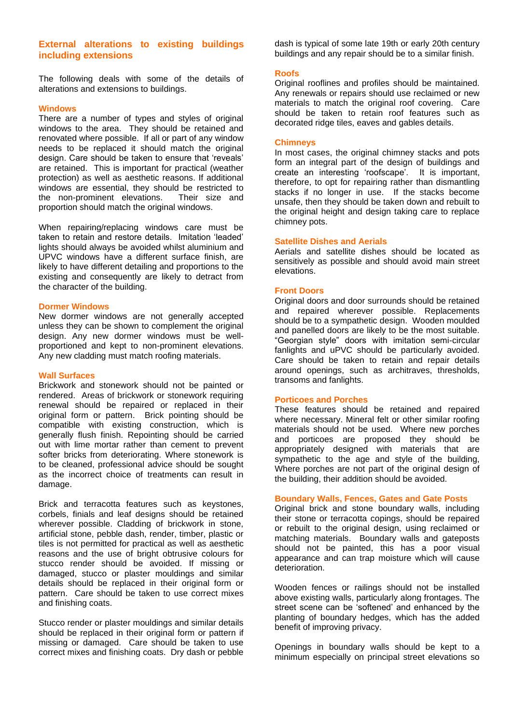## **External alterations to existing buildings including extensions**

The following deals with some of the details of alterations and extensions to buildings.

#### **Windows**

There are a number of types and styles of original windows to the area. They should be retained and renovated where possible. If all or part of any window needs to be replaced it should match the original design. Care should be taken to ensure that 'reveals' are retained. This is important for practical (weather protection) as well as aesthetic reasons. If additional windows are essential, they should be restricted to the non-prominent elevations. Their size and proportion should match the original windows.

When repairing/replacing windows care must be taken to retain and restore details. Imitation 'leaded' lights should always be avoided whilst aluminium and UPVC windows have a different surface finish, are likely to have different detailing and proportions to the existing and consequently are likely to detract from the character of the building.

#### **Dormer Windows**

New dormer windows are not generally accepted unless they can be shown to complement the original design. Any new dormer windows must be wellproportioned and kept to non-prominent elevations. Any new cladding must match roofing materials.

#### **Wall Surfaces**

Brickwork and stonework should not be painted or rendered. Areas of brickwork or stonework requiring renewal should be repaired or replaced in their original form or pattern. Brick pointing should be compatible with existing construction, which is generally flush finish. Repointing should be carried out with lime mortar rather than cement to prevent softer bricks from deteriorating. Where stonework is to be cleaned, professional advice should be sought as the incorrect choice of treatments can result in damage.

Brick and terracotta features such as keystones, corbels, finials and leaf designs should be retained wherever possible. Cladding of brickwork in stone, artificial stone, pebble dash, render, timber, plastic or tiles is not permitted for practical as well as aesthetic reasons and the use of bright obtrusive colours for stucco render should be avoided. If missing or damaged, stucco or plaster mouldings and similar details should be replaced in their original form or pattern. Care should be taken to use correct mixes and finishing coats.

Stucco render or plaster mouldings and similar details should be replaced in their original form or pattern if missing or damaged. Care should be taken to use correct mixes and finishing coats. Dry dash or pebble dash is typical of some late 19th or early 20th century buildings and any repair should be to a similar finish.

#### **Roofs**

Original rooflines and profiles should be maintained. Any renewals or repairs should use reclaimed or new materials to match the original roof covering. Care should be taken to retain roof features such as decorated ridge tiles, eaves and gables details.

#### **Chimneys**

In most cases, the original chimney stacks and pots form an integral part of the design of buildings and create an interesting 'roofscape'. It is important, therefore, to opt for repairing rather than dismantling stacks if no longer in use. If the stacks become unsafe, then they should be taken down and rebuilt to the original height and design taking care to replace chimney pots.

#### **Satellite Dishes and Aerials**

Aerials and satellite dishes should be located as sensitively as possible and should avoid main street elevations.

#### **Front Doors**

Original doors and door surrounds should be retained and repaired wherever possible. Replacements should be to a sympathetic design. Wooden moulded and panelled doors are likely to be the most suitable. "Georgian style" doors with imitation semi-circular fanlights and uPVC should be particularly avoided. Care should be taken to retain and repair details around openings, such as architraves, thresholds, transoms and fanlights.

#### **Porticoes and Porches**

These features should be retained and repaired where necessary. Mineral felt or other similar roofing materials should not be used. Where new porches and porticoes are proposed they should be appropriately designed with materials that are sympathetic to the age and style of the building, Where porches are not part of the original design of the building, their addition should be avoided.

#### **Boundary Walls, Fences, Gates and Gate Posts**

Original brick and stone boundary walls, including their stone or terracotta copings, should be repaired or rebuilt to the original design, using reclaimed or matching materials. Boundary walls and gateposts should not be painted, this has a poor visual appearance and can trap moisture which will cause deterioration.

Wooden fences or railings should not be installed above existing walls, particularly along frontages. The street scene can be 'softened' and enhanced by the planting of boundary hedges, which has the added benefit of improving privacy.

Openings in boundary walls should be kept to a minimum especially on principal street elevations so